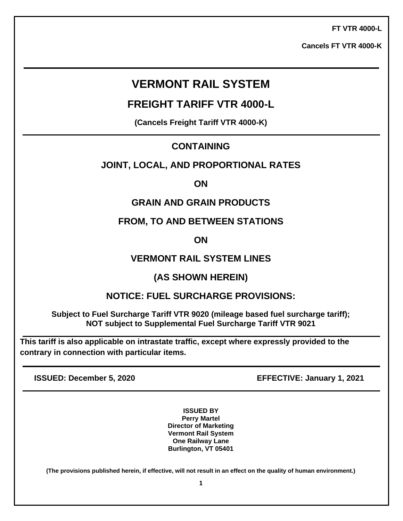**FT VTR 4000-L**

**Cancels FT VTR 4000-K**

# **VERMONT RAIL SYSTEM**

**FREIGHT TARIFF VTR 4000-L**

**(Cancels Freight Tariff VTR 4000-K)**

# **CONTAINING**

# **JOINT, LOCAL, AND PROPORTIONAL RATES**

**ON** 

# **GRAIN AND GRAIN PRODUCTS**

**FROM, TO AND BETWEEN STATIONS** 

**ON** 

# **VERMONT RAIL SYSTEM LINES**

# **(AS SHOWN HEREIN)**

# **NOTICE: FUEL SURCHARGE PROVISIONS:**

**Subject to Fuel Surcharge Tariff VTR 9020 (mileage based fuel surcharge tariff); NOT subject to Supplemental Fuel Surcharge Tariff VTR 9021**

**This tariff is also applicable on intrastate traffic, except where expressly provided to the contrary in connection with particular items.**

**ISSUED: December 5, 2020 EFFECTIVE: January 1, 2021**

**ISSUED BY Perry Martel Director of Marketing Vermont Rail System One Railway Lane Burlington, VT 05401**

**(The provisions published herein, if effective, will not result in an effect on the quality of human environment.)**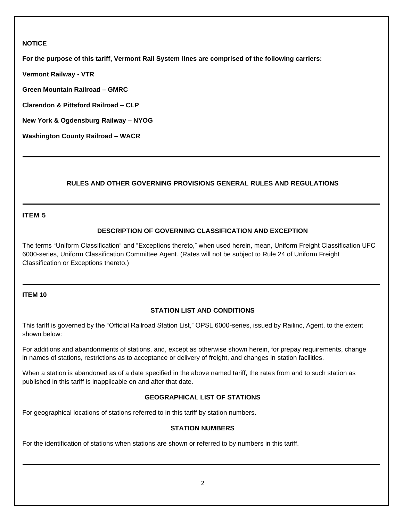# **NOTICE**

**For the purpose of this tariff, Vermont Rail System lines are comprised of the following carriers:**

**Vermont Railway - VTR**

**Green Mountain Railroad – GMRC**

**Clarendon & Pittsford Railroad – CLP**

**New York & Ogdensburg Railway – NYOG**

**Washington County Railroad – WACR**

# **RULES AND OTHER GOVERNING PROVISIONS GENERAL RULES AND REGULATIONS**

# **ITEM 5**

# **DESCRIPTION OF GOVERNING CLASSIFICATION AND EXCEPTION**

The terms "Uniform Classification" and "Exceptions thereto," when used herein, mean, Uniform Freight Classification UFC 6000-series, Uniform Classification Committee Agent. (Rates will not be subject to Rule 24 of Uniform Freight Classification or Exceptions thereto.)

#### **ITEM 10**

## **STATION LIST AND CONDITIONS**

This tariff is governed by the "Official Railroad Station List," OPSL 6000-series, issued by Railinc, Agent, to the extent shown below:

For additions and abandonments of stations, and, except as otherwise shown herein, for prepay requirements, change in names of stations, restrictions as to acceptance or delivery of freight, and changes in station facilities.

When a station is abandoned as of a date specified in the above named tariff, the rates from and to such station as published in this tariff is inapplicable on and after that date.

## **GEOGRAPHICAL LIST OF STATIONS**

For geographical locations of stations referred to in this tariff by station numbers.

## **STATION NUMBERS**

For the identification of stations when stations are shown or referred to by numbers in this tariff.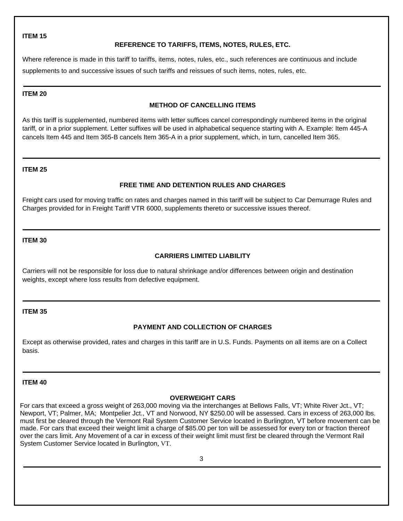## **REFERENCE TO TARIFFS, ITEMS, NOTES, RULES, ETC.**

Where reference is made in this tariff to tariffs, items, notes, rules, etc., such references are continuous and include supplements to and successive issues of such tariffs and reissues of such items, notes, rules, etc.

#### **ITEM 20**

# **METHOD OF CANCELLING ITEMS**

As this tariff is supplemented, numbered items with letter suffices cancel correspondingly numbered items in the original tariff, or in a prior supplement. Letter suffixes will be used in alphabetical sequence starting with A. Example: Item 445-A cancels Item 445 and Item 365-B cancels Item 365-A in a prior supplement, which, in turn, cancelled Item 365.

#### **ITEM 25**

## **FREE TIME AND DETENTION RULES AND CHARGES**

Freight cars used for moving traffic on rates and charges named in this tariff will be subject to Car Demurrage Rules and Charges provided for in Freight Tariff VTR 6000, supplements thereto or successive issues thereof.

## **ITEM 30**

## **CARRIERS LIMITED LIABILITY**

Carriers will not be responsible for loss due to natural shrinkage and/or differences between origin and destination weights, except where loss results from defective equipment.

## **ITEM 35**

# **PAYMENT AND COLLECTION OF CHARGES**

Except as otherwise provided, rates and charges in this tariff are in U.S. Funds. Payments on all items are on a Collect basis.

#### **ITEM 40**

## **OVERWEIGHT CARS**

For cars that exceed a gross weight of 263,000 moving via the interchanges at Bellows Falls, VT; White River Jct., VT; Newport, VT; Palmer, MA; Montpelier Jct., VT and Norwood, NY \$250.00 will be assessed. Cars in excess of 263,000 lbs. must first be cleared through the Vermont Rail System Customer Service located in Burlington, VT before movement can be made. For cars that exceed their weight limit a charge of \$85.00 per ton will be assessed for every ton or fraction thereof over the cars limit. Any Movement of a car in excess of their weight limit must first be cleared through the Vermont Rail System Customer Service located in Burlington, VT.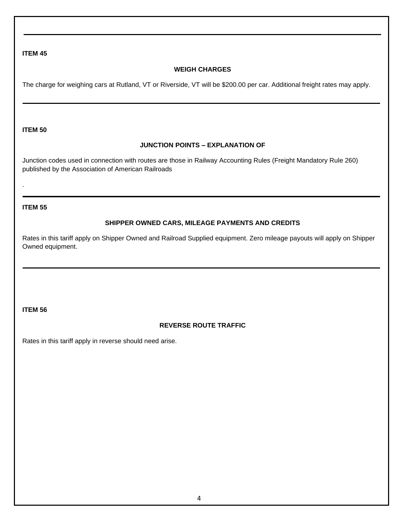# **WEIGH CHARGES**

The charge for weighing cars at Rutland, VT or Riverside, VT will be \$200.00 per car. Additional freight rates may apply.

#### **ITEM 50**

# **JUNCTION POINTS – EXPLANATION OF**

Junction codes used in connection with routes are those in Railway Accounting Rules (Freight Mandatory Rule 260) published by the Association of American Railroads

#### **ITEM 55**

.

## **SHIPPER OWNED CARS, MILEAGE PAYMENTS AND CREDITS**

Rates in this tariff apply on Shipper Owned and Railroad Supplied equipment. Zero mileage payouts will apply on Shipper Owned equipment.

#### **ITEM 56**

# **REVERSE ROUTE TRAFFIC**

Rates in this tariff apply in reverse should need arise.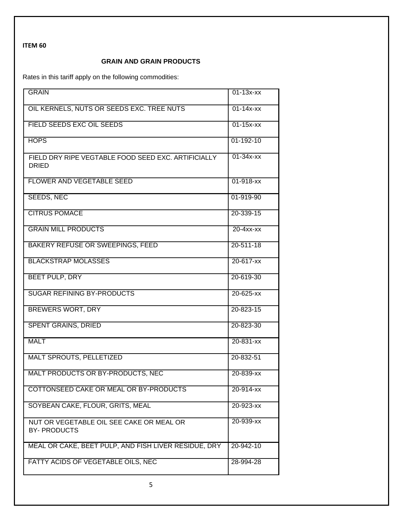# **GRAIN AND GRAIN PRODUCTS**

Rates in this tariff apply on the following commodities:

| <b>GRAIN</b>                                                        | $01 - 13x - xx$ |
|---------------------------------------------------------------------|-----------------|
| OIL KERNELS, NUTS OR SEEDS EXC. TREE NUTS                           | $01 - 14x - xx$ |
| FIELD SEEDS EXC OIL SEEDS                                           | $01 - 15x - xx$ |
| <b>HOPS</b>                                                         | 01-192-10       |
| FIELD DRY RIPE VEGTABLE FOOD SEED EXC. ARTIFICIALLY<br><b>DRIED</b> | $01-34x$ - $xx$ |
| <b>FLOWER AND VEGETABLE SEED</b>                                    | $01 - 918 - xx$ |
| <b>SEEDS, NEC</b>                                                   | 01-919-90       |
| <b>CITRUS POMACE</b>                                                | 20-339-15       |
| <b>GRAIN MILL PRODUCTS</b>                                          | $20 - 4xx - xx$ |
| <b>BAKERY REFUSE OR SWEEPINGS, FEED</b>                             | $20 - 511 - 18$ |
| <b>BLACKSTRAP MOLASSES</b>                                          | 20-617-xx       |
| <b>BEET PULP, DRY</b>                                               | 20-619-30       |
| <b>SUGAR REFINING BY-PRODUCTS</b>                                   | $20 - 625 - xx$ |
| <b>BREWERS WORT, DRY</b>                                            | 20-823-15       |
| <b>SPENT GRAINS, DRIED</b>                                          | 20-823-30       |
| <b>MALT</b>                                                         | $20 - 831 - xx$ |
| <b>MALT SPROUTS, PELLETIZED</b>                                     | 20-832-51       |
| MALT PRODUCTS OR BY-PRODUCTS, NEC                                   | 20-839-xx       |
| COTTONSEED CAKE OR MEAL OR BY-PRODUCTS                              | 20-914-xx       |
| SOYBEAN CAKE, FLOUR, GRITS, MEAL                                    | 20-923-xx       |
| NUT OR VEGETABLE OIL SEE CAKE OR MEAL OR<br><b>BY-PRODUCTS</b>      | 20-939-xx       |
| MEAL OR CAKE, BEET PULP, AND FISH LIVER RESIDUE, DRY                | 20-942-10       |
| FATTY ACIDS OF VEGETABLE OILS, NEC                                  | 28-994-28       |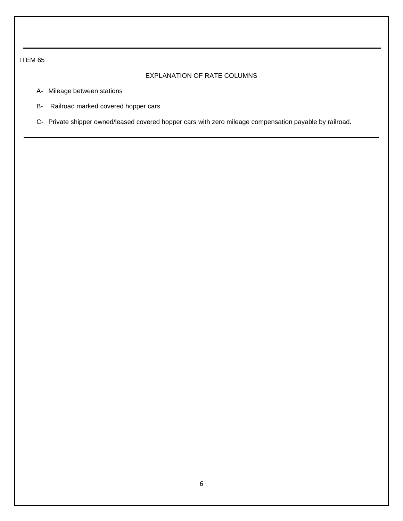# EXPLANATION OF RATE COLUMNS

- A- Mileage between stations
- B- Railroad marked covered hopper cars
- C- Private shipper owned/leased covered hopper cars with zero mileage compensation payable by railroad.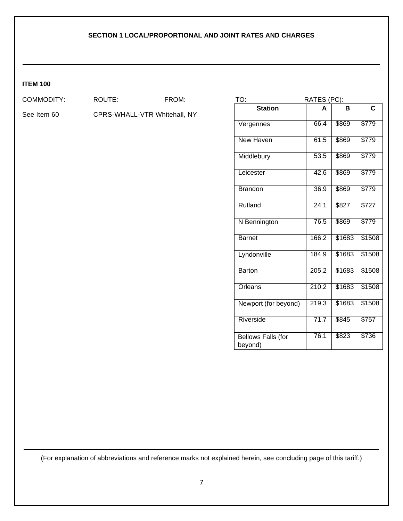# **ITEM 100**

COMMODITY: ROUTE: FROM:

See Item 60 CPRS-WHALL-VTR Whitehall, NY

| TO:<br>RATES (PC):                   |       |        |        |  |
|--------------------------------------|-------|--------|--------|--|
| <b>Station</b>                       | A     | в      | C      |  |
| Vergennes                            | 66.4  | \$869  | \$779  |  |
| <b>New Haven</b>                     | 61.5  | \$869  | \$779  |  |
| Middlebury                           | 53.5  | \$869  | \$779  |  |
| Leicester                            | 42.6  | \$869  | \$779  |  |
| <b>Brandon</b>                       | 36.9  | \$869  | \$779  |  |
| Rutland                              | 24.1  | \$827  | \$727  |  |
| N Bennington                         | 76.5  | \$869  | \$779  |  |
| <b>Barnet</b>                        | 166.2 | \$1683 | \$1508 |  |
| Lyndonville                          | 184.9 | \$1683 | \$1508 |  |
| <b>Barton</b>                        | 205.2 | \$1683 | \$1508 |  |
| Orleans                              | 210.2 | \$1683 | \$1508 |  |
| Newport (for beyond)                 | 219.3 | \$1683 | \$1508 |  |
| Riverside                            | 71.7  | \$845  | \$757  |  |
| <b>Bellows Falls (for</b><br>beyond) | 76.1  | \$823  | \$736  |  |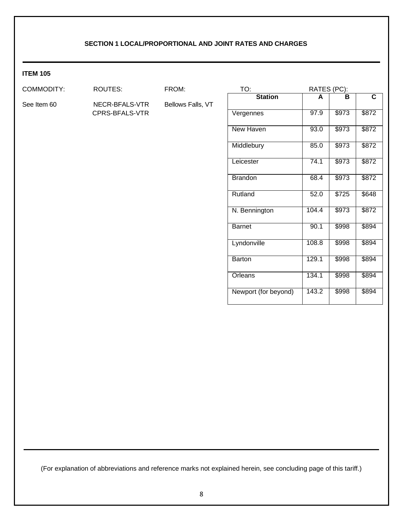# **ITEM 105**

COMMODITY: ROUTES: FROM:

CPRS-BFALS-VTR

See Item 60 NECR-BFALS-VTR Bellows Falls, VT

| TO:                  | RATES (PC): |       |       |  |
|----------------------|-------------|-------|-------|--|
| <b>Station</b>       | A           | в     | C     |  |
| Vergennes            | 97.9        | \$973 | \$872 |  |
| New Haven            | 93.0        | \$973 | \$872 |  |
| Middlebury           | 85.0        | \$973 | \$872 |  |
| Leicester            | 74.1        | \$973 | \$872 |  |
| <b>Brandon</b>       | 68.4        | \$973 | \$872 |  |
| Rutland              | 52.0        | \$725 | \$648 |  |
| N. Bennington        | 104.4       | \$973 | \$872 |  |
| <b>Barnet</b>        | 90.1        | \$998 | \$894 |  |
| Lyndonville          | 108.8       | \$998 | \$894 |  |
| <b>Barton</b>        | 129.1       | \$998 | \$894 |  |
| Orleans              | 134.1       | \$998 | \$894 |  |
| Newport (for beyond) | 143.2       | \$998 | \$894 |  |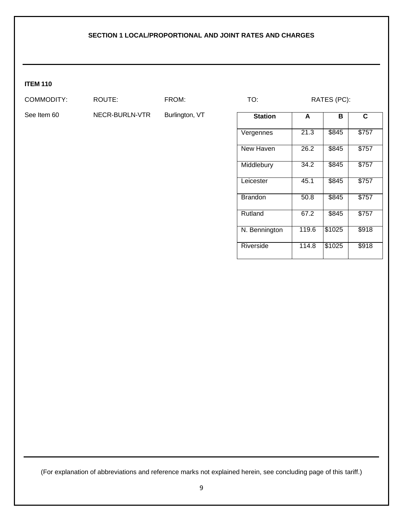# **ITEM 110**

COMMODITY: ROUTE: FROM: TO: RATES (PC):

See Item 60 NECR-BURLN-VTR Burlington, VT

| <b>Station</b> | A     | в      | C.    |
|----------------|-------|--------|-------|
| Vergennes      | 21.3  | \$845  | \$757 |
| New Haven      | 26.2  | \$845  | \$757 |
| Middlebury     | 34.2  | \$845  | \$757 |
| Leicester      | 45.1  | \$845  | \$757 |
| <b>Brandon</b> | 50.8  | \$845  | \$757 |
| Rutland        | 67.2  | \$845  | \$757 |
| N. Bennington  | 119.6 | \$1025 | \$918 |
| Riverside      | 114.8 | \$1025 | \$918 |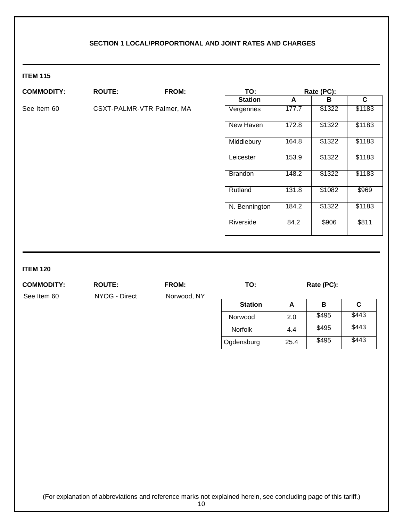# **ITEM 115**

| <b>COMMODITY:</b> | <b>ROUTE:</b>             | FROM: | TO:            |       | Rate (PC): |        |
|-------------------|---------------------------|-------|----------------|-------|------------|--------|
|                   |                           |       | <b>Station</b> | A     | в          | C      |
| See Item 60       | CSXT-PALMR-VTR Palmer, MA |       | Vergennes      | 177.7 | \$1322     | \$1183 |
|                   |                           |       | New Haven      | 172.8 | \$1322     | \$1183 |
|                   |                           |       | Middlebury     | 164.8 | \$1322     | \$1183 |
|                   |                           |       | Leicester      | 153.9 | \$1322     | \$1183 |
|                   |                           |       | <b>Brandon</b> | 148.2 | \$1322     | \$1183 |
|                   |                           |       | Rutland        | 131.8 | \$1082     | \$969  |
|                   |                           |       | N. Bennington  | 184.2 | \$1322     | \$1183 |
|                   |                           |       | Riverside      | 84.2  | \$906      | \$811  |
|                   |                           |       |                |       |            |        |

# **ITEM 120**

**COMMODITY: ROUTE: FROM: TO: Rate (PC):**

See Item 60 NYOG - Direct Norwood, NY

| <b>Station</b> | А    | в     | С     |
|----------------|------|-------|-------|
| Norwood        | 2.0  | \$495 | \$443 |
| <b>Norfolk</b> | 4.4  | \$495 | \$443 |
| Ogdensburg     | 25.4 | \$495 | \$443 |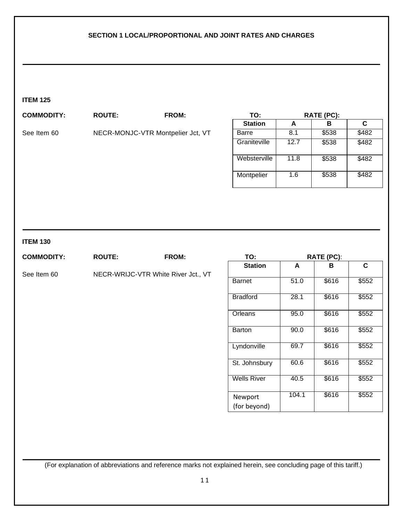# **ITEM 125**

| <b>COMMODITY:</b> | <b>ROUTE:</b>                     | <b>FROM:</b> | TO:            |      | RATE (PC): |       |
|-------------------|-----------------------------------|--------------|----------------|------|------------|-------|
|                   |                                   |              | <b>Station</b> | A    | в          | C     |
| See Item 60       | NECR-MONJC-VTR Montpelier Jct, VT |              | Barre          | 8.1  | \$538      | \$482 |
|                   |                                   |              | Graniteville   | 12.7 | \$538      | \$482 |
|                   |                                   |              | Websterville   | 11.8 | \$538      | \$482 |
|                   |                                   |              | Montpelier     | 1.6  | \$538      | \$482 |
|                   |                                   |              |                |      |            |       |

# **ITEM 130**

| <b>COMMODITY:</b> | <b>ROUTE:</b> | FROM:                               | TO:                |       | <b>RATE (PC):</b> |             |
|-------------------|---------------|-------------------------------------|--------------------|-------|-------------------|-------------|
|                   |               |                                     | <b>Station</b>     | A     | В                 | $\mathbf c$ |
| See Item 60       |               | NECR-WRIJC-VTR White River Jct., VT |                    |       |                   |             |
|                   |               |                                     | <b>Barnet</b>      | 51.0  | \$616             | \$552       |
|                   |               |                                     | <b>Bradford</b>    | 28.1  | \$616             | \$552       |
|                   |               |                                     | Orleans            | 95.0  | \$616             | \$552       |
|                   |               |                                     | <b>Barton</b>      | 90.0  | \$616             | \$552       |
|                   |               |                                     | Lyndonville        | 69.7  | \$616             | \$552       |
|                   |               |                                     | St. Johnsbury      | 60.6  | \$616             | \$552       |
|                   |               |                                     | <b>Wells River</b> | 40.5  | \$616             | \$552       |
|                   |               |                                     | Newport            | 104.1 | \$616             | \$552       |
|                   |               |                                     | (for beyond)       |       |                   |             |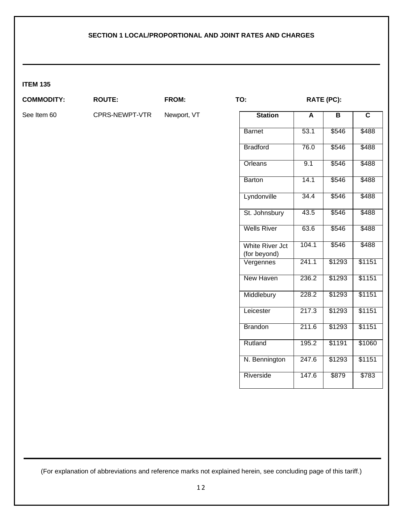# **ITEM 135**

# **COMMODITY: ROUTE: FROM: TO: RATE (PC):**

See Item 60 CPRS-NEWPT-VTR Newport, VT

| <b>Station</b>                         | A     | B      | C      |
|----------------------------------------|-------|--------|--------|
| <b>Barnet</b>                          | 53.1  | \$546  | \$488  |
| <b>Bradford</b>                        | 76.0  | \$546  | \$488  |
| Orleans                                | 9.1   | \$546  | \$488  |
| <b>Barton</b>                          | 14.1  | \$546  | \$488  |
| Lyndonville                            | 34.4  | \$546  | \$488  |
| St. Johnsbury                          | 43.5  | \$546  | \$488  |
| <b>Wells River</b>                     | 63.6  | \$546  | \$488  |
| <b>White River Jct</b><br>(for beyond) | 104.1 | \$546  | \$488  |
| Vergennes                              | 241.1 | \$1293 | \$1151 |
| <b>New Haven</b>                       | 236.2 | \$1293 | \$1151 |
| Middlebury                             | 228.2 | \$1293 | \$1151 |
| Leicester                              | 217.3 | \$1293 | \$1151 |
| <b>Brandon</b>                         | 211.6 | \$1293 | \$1151 |
| Rutland                                | 195.2 | \$1191 | \$1060 |
| N. Bennington                          | 247.6 | \$1293 | \$1151 |
| Riverside                              | 147.6 | \$879  | \$783  |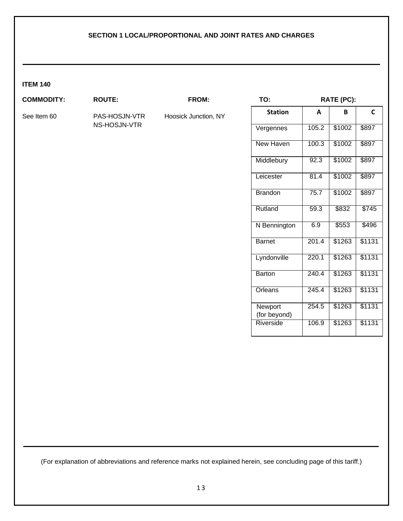#### **ITEM 140**

## **COMMODITY: ROUTE: FROM:**

NS-HOSJN-VTR

See Item 60 PAS-HOSJN-VTR Hoosick Junction, NY

| TO:                     | RATE (PC): |        |        |  |  |
|-------------------------|------------|--------|--------|--|--|
| <b>Station</b>          | A          | R      | C      |  |  |
| Vergennes               | 105.2      | \$1002 | \$897  |  |  |
| <b>New Haven</b>        | 100.3      | \$1002 | \$897  |  |  |
| Middlebury              | 92.3       | \$1002 | \$897  |  |  |
| Leicester               | 81.4       | \$1002 | \$897  |  |  |
| <b>Brandon</b>          | 75.7       | \$1002 | \$897  |  |  |
| Rutland                 | 59.3       | \$832  | \$745  |  |  |
| N Bennington            | 6.9        | \$553  | \$496  |  |  |
| <b>Barnet</b>           | 201.4      | \$1263 | \$1131 |  |  |
| Lyndonville             | 220.1      | \$1263 | \$1131 |  |  |
| <b>Barton</b>           | 240.4      | \$1263 | \$1131 |  |  |
| Orleans                 | 245.4      | \$1263 | \$1131 |  |  |
| Newport<br>(for beyond) | 254.5      | \$1263 | \$1131 |  |  |
| Riverside               | 106.9      | \$1263 | \$1131 |  |  |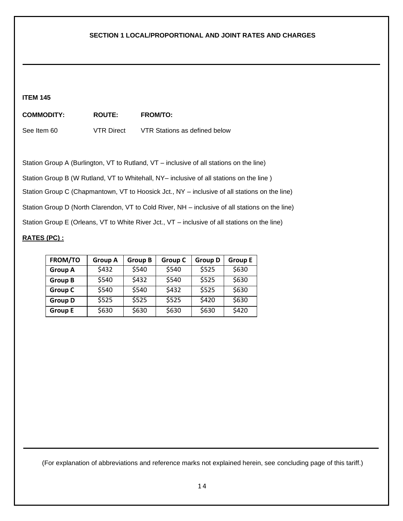#### **ITEM 145**

| <b>COMMODITY:</b> | <b>ROUTE:</b>     | <b>FROM/TO:</b>               |
|-------------------|-------------------|-------------------------------|
| See Item 60       | <b>VTR Direct</b> | VTR Stations as defined below |

Station Group A (Burlington, VT to Rutland, VT – inclusive of all stations on the line)

Station Group B (W Rutland, VT to Whitehall, NY– inclusive of all stations on the line)

Station Group C (Chapmantown, VT to Hoosick Jct., NY – inclusive of all stations on the line)

Station Group D (North Clarendon, VT to Cold River, NH – inclusive of all stations on the line)

Station Group E (Orleans, VT to White River Jct., VT – inclusive of all stations on the line)

### **RATES (PC) :**

| <b>FROM/TO</b> | <b>Group A</b> | <b>Group B</b> | <b>Group C</b> | <b>Group D</b> | <b>Group E</b> |
|----------------|----------------|----------------|----------------|----------------|----------------|
| <b>Group A</b> | \$432          | \$540          | \$540          | \$525          | \$630          |
| <b>Group B</b> | \$540          | \$432          | \$540          | \$525          | \$630          |
| <b>Group C</b> | \$540          | \$540          | \$432          | \$525          | \$630          |
| <b>Group D</b> | \$525          | \$525          | \$525          | \$420          | \$630          |
| <b>Group E</b> | \$630          | \$630          | \$630          | \$630          | \$420          |